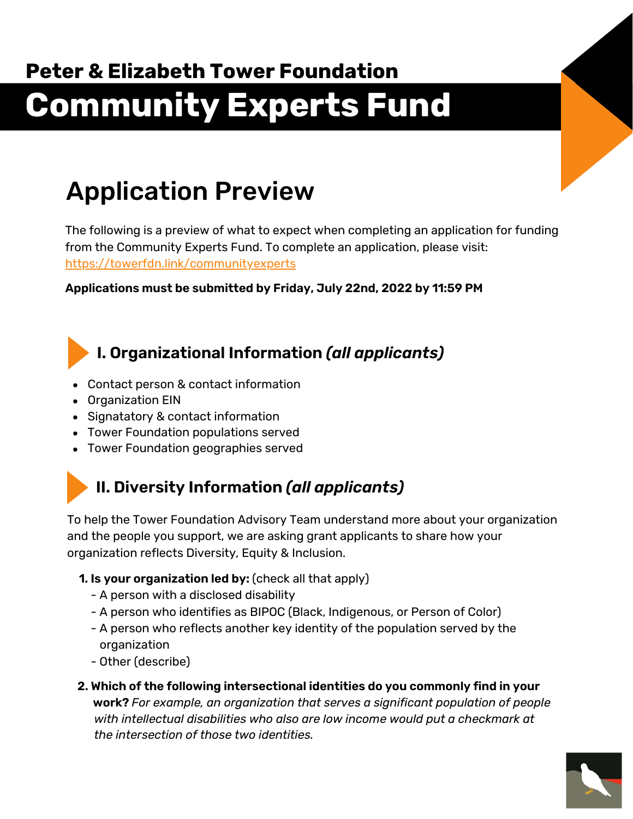# **Peter & Elizabeth Tower Foundation Community Experts Fund**

## Application Preview

The following is a preview of what to expect when completing an application for funding from the Community Experts Fund. To complete an application, please visit: <https://towerfdn.link/communityexperts>

**Applications must be submitted by Friday, July 22nd, 2022 by 11:59 PM**

## **I. Organizational Information** *(all applicants)*

- Contact person & contact information
- Organization EIN
- Signatatory & contact information
- Tower Foundation populations served
- Tower Foundation geographies served

## **II. Diversity Information** *(all applicants)*

To help the Tower Foundation Advisory Team understand more about your organization and the people you support, we are asking grant applicants to share how your organization reflects Diversity, Equity & Inclusion.

- **1. Is your organization led by:** (check all that apply)
	- A person with a disclosed disability
	- A person who identifies as BIPOC (Black, Indigenous, or Person of Color)
	- A person who reflects another key identity of the population served by the organization
	- Other (describe)
- **2. Which of the following intersectional identities do you commonly find in your work?** *For example, an organization that serves a significant population of people with intellectual disabilities who also are low income would put a checkmark at the intersection of those two identities.*

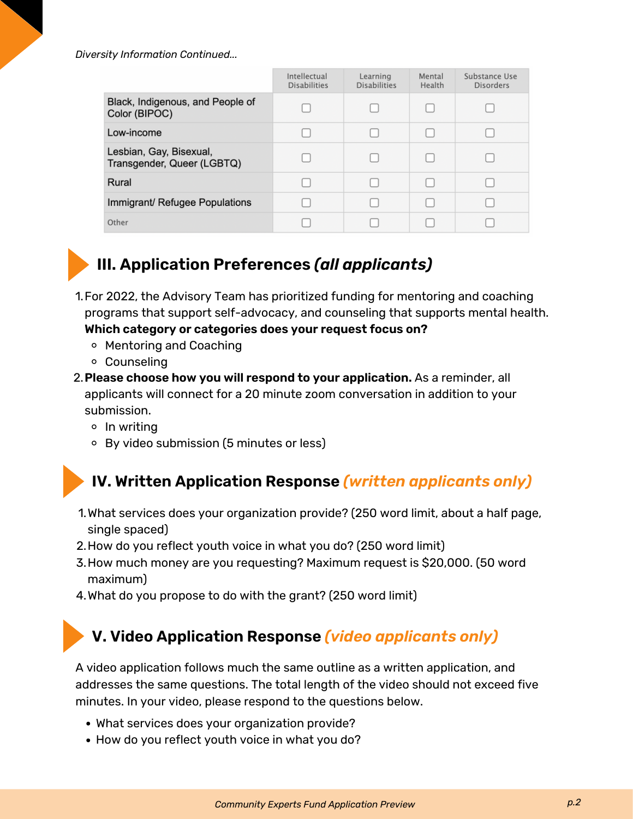*Diversity Information Continued...*

|                                                       | Intellectual<br><b>Disabilities</b> | Learning<br><b>Disabilities</b> | Mental<br>Health | Substance Use<br><b>Disorders</b> |
|-------------------------------------------------------|-------------------------------------|---------------------------------|------------------|-----------------------------------|
| Black, Indigenous, and People of<br>Color (BIPOC)     |                                     |                                 |                  |                                   |
| Low-income                                            |                                     |                                 |                  |                                   |
| Lesbian, Gay, Bisexual,<br>Transgender, Queer (LGBTQ) |                                     |                                 |                  |                                   |
| Rural                                                 |                                     |                                 |                  |                                   |
| Immigrant/ Refugee Populations                        |                                     |                                 |                  |                                   |
| Other                                                 |                                     |                                 |                  |                                   |



## **III. Application Preferences** *(all applicants)*

- 1.For 2022, the Advisory Team has prioritized funding for mentoring and coaching programs that support self-advocacy, and counseling that supports mental health. **Which category or categories does your request focus on?**
	- Mentoring and Coaching
	- Counseling
- **Please choose how you will respond to your application.** As a reminder, all 2. applicants will connect for a 20 minute zoom conversation in addition to your submission.
	- $\circ$  In writing
	- By video submission (5 minutes or less)

**IV. Written Application Response** *(written applicants only)*

- What services does your organization provide? (250 word limit, about a half page, 1. single spaced)
- 2.How do you reflect youth voice in what you do? (250 word limit)
- 3. How much money are you requesting? Maximum request is \$20,000. (50 word maximum)
- 4. What do you propose to do with the grant? (250 word limit)

### **V. Video Application Response** *(video applicants only)*

A video application follows much the same outline as a written application, and addresses the same questions. The total length of the video should not exceed five minutes. In your video, please respond to the questions below.

- What services does your organization provide?
- How do you reflect youth voice in what you do?